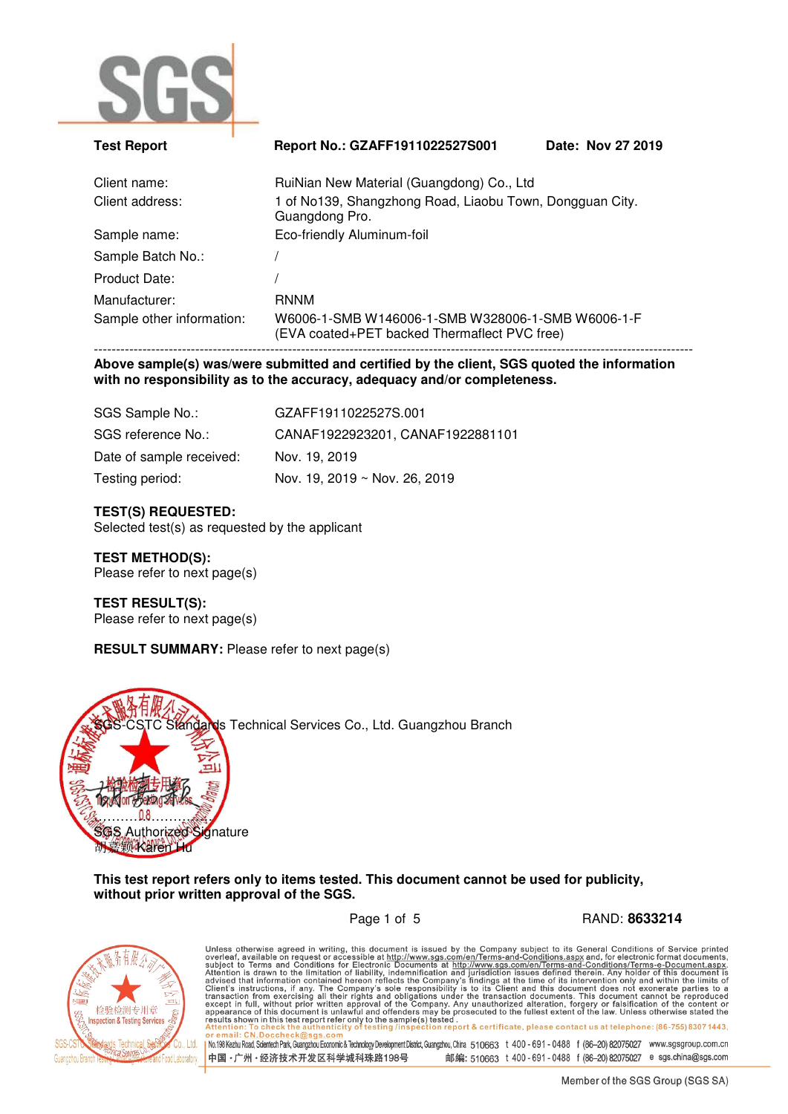

| <b>Test Report</b>        | Report No.: GZAFF1911022527S001                                                                   | Date: Nov 27 2019 |
|---------------------------|---------------------------------------------------------------------------------------------------|-------------------|
| Client name:              | RuiNian New Material (Guangdong) Co., Ltd                                                         |                   |
| Client address:           | 1 of No139, Shangzhong Road, Liaobu Town, Dongguan City.<br>Guangdong Pro.                        |                   |
| Sample name:              | Eco-friendly Aluminum-foil                                                                        |                   |
| Sample Batch No.:         |                                                                                                   |                   |
| Product Date:             |                                                                                                   |                   |
| Manufacturer:             | <b>RNNM</b>                                                                                       |                   |
| Sample other information: | W6006-1-SMB W146006-1-SMB W328006-1-SMB W6006-1-F<br>(EVA coated+PET backed Thermaflect PVC free) |                   |
|                           |                                                                                                   |                   |

**Above sample(s) was/were submitted and certified by the client, SGS quoted the information with no responsibility as to the accuracy, adequacy and/or completeness.** 

| SGS Sample No.:          | GZAFF1911022527S.001             |
|--------------------------|----------------------------------|
| SGS reference No.:       | CANAF1922923201, CANAF1922881101 |
| Date of sample received: | Nov. 19, 2019                    |
| Testing period:          | Nov. 19, 2019 ~ Nov. 26, 2019    |

### **TEST(S) REQUESTED:**

Selected test(s) as requested by the applicant

# **TEST METHOD(S):**

Please refer to next page(s)

# **TEST RESULT(S):**

Please refer to next page(s)

## **RESULT SUMMARY:** Please refer to next page(s)



**This test report refers only to items tested. This document cannot be used for publicity, without prior written approval of the SGS.** 

检验检测专用章 **Inspection & Testing Services** Technical

Page 1 of 5 RAND: **8633214**

Unless otherwise agreed in writing, this document is issued by the Company subject to its General Conditions of Service printed overleaf, available on request or accessible at http://www.sgs.com/en/Terms-and-Conditions.as No.198 Kezhu Road, Scientech Park, Guangzhou Economic & Technology Development District, Guangzhou, China 510663 t 400 - 691 - 0488 f (86-20) 82075027 www.sgsgroup.com.cn 中国·广州·经济技术开发区科学城科珠路198号 邮编: 510663 t 400 - 691 - 0488 f (86-20) 82075027 e sgs.china@sgs.com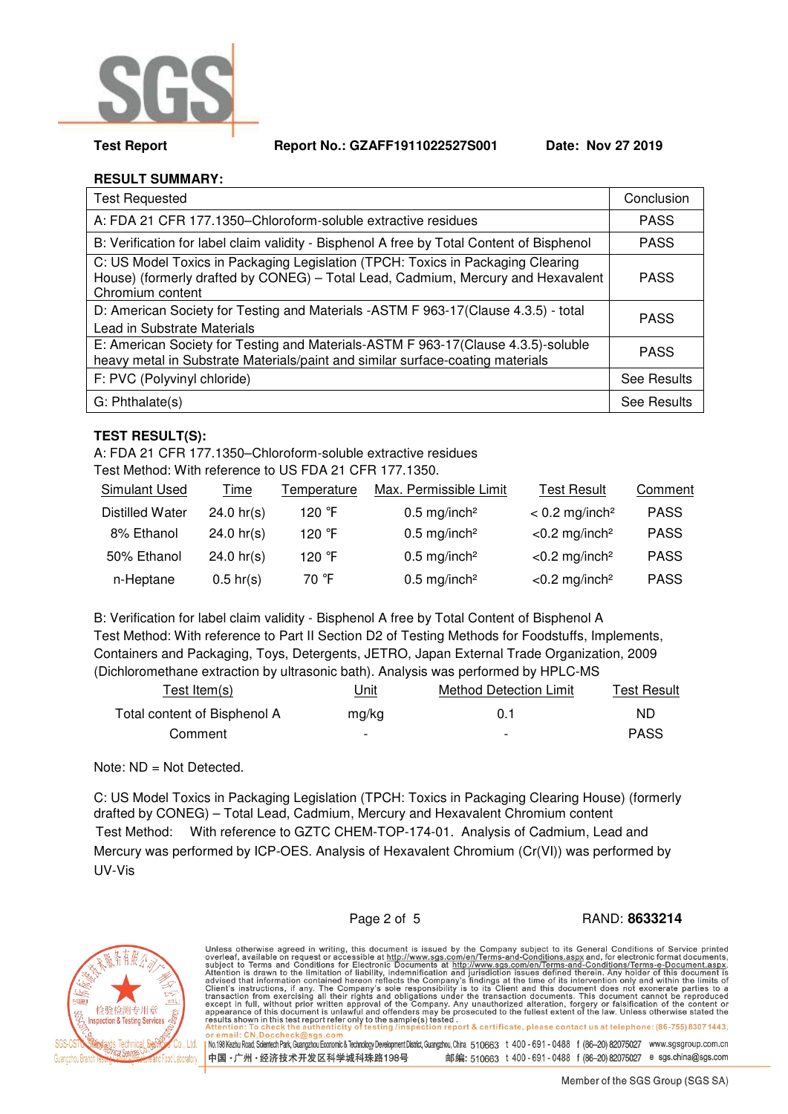

**Test Report Report No.: GZAFF1911022527S001 Date: Nov 27 2019** 

# **RESULT SUMMARY:**

| <b>Test Requested</b>                                                                                                                                                                   | Conclusion         |
|-----------------------------------------------------------------------------------------------------------------------------------------------------------------------------------------|--------------------|
| A: FDA 21 CFR 177.1350-Chloroform-soluble extractive residues                                                                                                                           | <b>PASS</b>        |
| B: Verification for label claim validity - Bisphenol A free by Total Content of Bisphenol                                                                                               | <b>PASS</b>        |
| C: US Model Toxics in Packaging Legislation (TPCH: Toxics in Packaging Clearing<br>House) (formerly drafted by CONEG) - Total Lead, Cadmium, Mercury and Hexavalent<br>Chromium content | <b>PASS</b>        |
| D: American Society for Testing and Materials - ASTM F 963-17 (Clause 4.3.5) - total<br>Lead in Substrate Materials                                                                     | <b>PASS</b>        |
| E: American Society for Testing and Materials-ASTM F 963-17(Clause 4.3.5)-soluble<br>heavy metal in Substrate Materials/paint and similar surface-coating materials                     | <b>PASS</b>        |
| F: PVC (Polyvinyl chloride)                                                                                                                                                             | <b>See Results</b> |
| G: Phthalate(s)                                                                                                                                                                         | See Results        |

## **TEST RESULT(S):**

A: FDA 21 CFR 177.1350–Chloroform-soluble extractive residues

Test Method: With reference to US FDA 21 CFR 177.1350.

| <b>Simulant Used</b>   | Time                 | Temperature      | Max. Permissible Limit     | <b>Test Result</b>           | Comment     |
|------------------------|----------------------|------------------|----------------------------|------------------------------|-------------|
| <b>Distilled Water</b> | $24.0 \text{ hr(s)}$ | 120 °F           | $0.5$ mg/inch <sup>2</sup> | $< 0.2$ mg/inch <sup>2</sup> | <b>PASS</b> |
| 8% Ethanol             | $24.0 \text{ hr(s)}$ | 120 $^{\circ}$ F | $0.5$ mg/inch <sup>2</sup> | $<$ 0.2 mg/inch <sup>2</sup> | <b>PASS</b> |
| 50% Ethanol            | 24.0 $hr(s)$         | 120 °F           | $0.5$ mg/inch <sup>2</sup> | $<$ 0.2 mg/inch <sup>2</sup> | <b>PASS</b> |
| n-Heptane              | $0.5$ hr(s)          | 70 °F            | $0.5$ mg/inch <sup>2</sup> | $<$ 0.2 mg/inch <sup>2</sup> | <b>PASS</b> |

B: Verification for label claim validity - Bisphenol A free by Total Content of Bisphenol A Test Method: With reference to Part II Section D2 of Testing Methods for Foodstuffs, Implements, Containers and Packaging, Toys, Detergents, JETRO, Japan External Trade Organization, 2009 (Dichloromethane extraction by ultrasonic bath). Analysis was performed by HPLC-MS

| Test Item(s)                 | Unit                     | Method Detection Limit   | Test Result |
|------------------------------|--------------------------|--------------------------|-------------|
| Total content of Bisphenol A | mg/kg                    | 0.1                      | ND.         |
| Comment                      | $\overline{\phantom{0}}$ | $\overline{\phantom{0}}$ | <b>PASS</b> |

Note: ND = Not Detected.

C: US Model Toxics in Packaging Legislation (TPCH: Toxics in Packaging Clearing House) (formerly drafted by CONEG) – Total Lead, Cadmium, Mercury and Hexavalent Chromium content Test Method: With reference to GZTC CHEM-TOP-174-01. Analysis of Cadmium, Lead and Mercury was performed by ICP-OES. Analysis of Hexavalent Chromium (Cr(VI)) was performed by UV-Vis

## Page 2 of 5 RAND: **8633214**



Unless otherwise agreed in writing, this document is issued by the Company subject to its General Conditions of Service printed<br>overleaf, available on request or accessible at <u>http://www.sgs.com/en/Terms-and-Conditions.a</u> No.198 Kezhu Road, Scientech Park, Guargzhou Economic & Technology Development District, Guangzhou, China 510663 t 400 - 691 - 0488 f (86-20) 82075027 www.sgsgroup.com.cn 中国·广州·经济技术开发区科学城科珠路198号 邮编: 510663 t 400 - 691 - 0488 f (86-20) 82075027 e sgs.china@sgs.com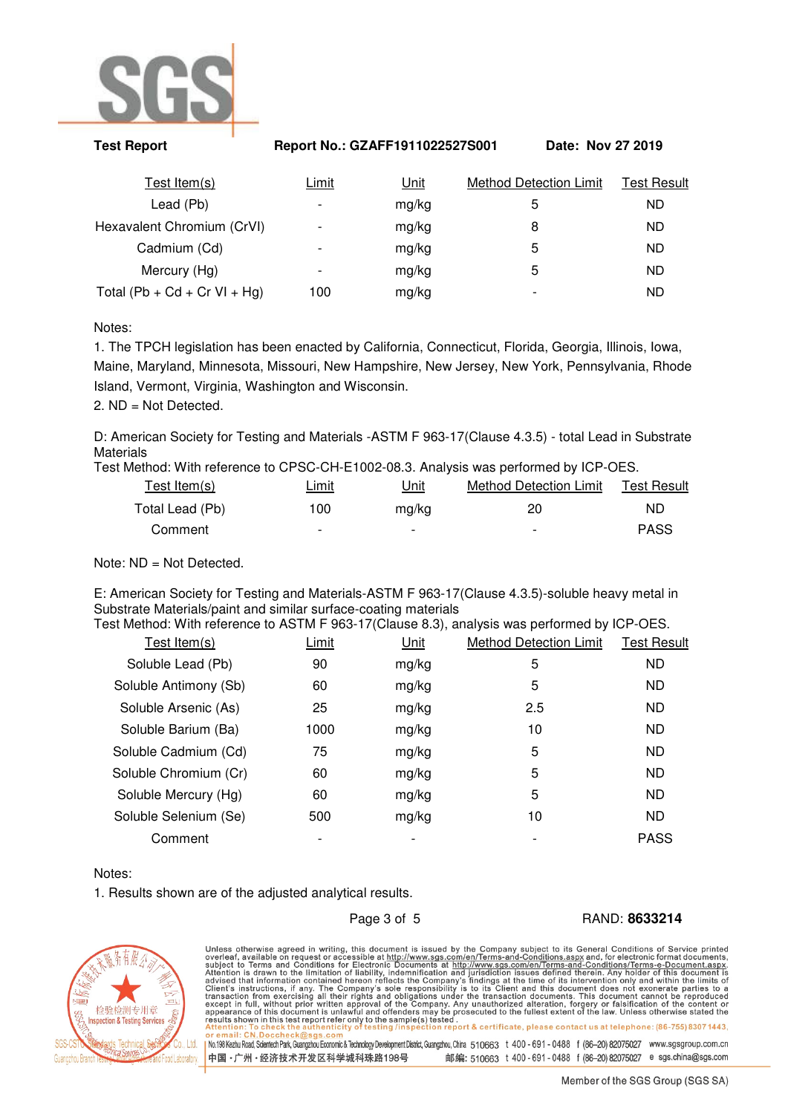

| <b>Test Report</b>           |                          | Report No.: GZAFF1911022527S001 |                               | Date: Nov 27 2019  |  |
|------------------------------|--------------------------|---------------------------------|-------------------------------|--------------------|--|
| Test Item(s)                 | Limit                    | Unit                            | <b>Method Detection Limit</b> | <b>Test Result</b> |  |
| Lead (Pb)                    | $\overline{\phantom{a}}$ | mg/kg                           | 5                             | ND.                |  |
| Hexavalent Chromium (CrVI)   | -                        | mg/kg                           | 8                             | ND.                |  |
| Cadmium (Cd)                 | $\overline{\phantom{a}}$ | mg/kg                           | 5                             | <b>ND</b>          |  |
| Mercury (Hg)                 | $\overline{\phantom{a}}$ | mg/kg                           | 5                             | ND.                |  |
| Total (Pb + Cd + Cr VI + Hg) | 100                      | mg/kg                           |                               | ND.                |  |

Notes:

1. The TPCH legislation has been enacted by California, Connecticut, Florida, Georgia, Illinois, Iowa, Maine, Maryland, Minnesota, Missouri, New Hampshire, New Jersey, New York, Pennsylvania, Rhode Island, Vermont, Virginia, Washington and Wisconsin.

2. ND = Not Detected.

D: American Society for Testing and Materials -ASTM F 963-17(Clause 4.3.5) - total Lead in Substrate Materials

Test Method: With reference to CPSC-CH-E1002-08.3. Analysis was performed by ICP-OES.

| Test Item(s)    | <u>Limit</u>             | اnit                     | Method Detection Limit   | Test Result |
|-----------------|--------------------------|--------------------------|--------------------------|-------------|
| Total Lead (Pb) | 100                      | ma/ka                    | 20                       | ND          |
| Comment         | $\overline{\phantom{0}}$ | $\overline{\phantom{0}}$ | $\overline{\phantom{0}}$ | <b>PASS</b> |

Note: ND = Not Detected.

E: American Society for Testing and Materials-ASTM F 963-17(Clause 4.3.5)-soluble heavy metal in Substrate Materials/paint and similar surface-coating materials

| Test Method: With reference to ASTM F 963-17(Clause 8.3), analysis was performed by ICP-OES. |       |             |                               |             |
|----------------------------------------------------------------------------------------------|-------|-------------|-------------------------------|-------------|
| Test Item $(s)$                                                                              | Limit | <u>Unit</u> | <b>Method Detection Limit</b> | Test Result |
| Soluble Lead (Pb)                                                                            | 90    | mg/kg       | 5                             | ND.         |
| Soluble Antimony (Sb)                                                                        | 60    | mg/kg       | 5                             | ND.         |
| Soluble Arsenic (As)                                                                         | 25    | mg/kg       | 2.5                           | ND.         |
| Soluble Barium (Ba)                                                                          | 1000  | mg/kg       | 10                            | ND.         |
| Soluble Cadmium (Cd)                                                                         | 75    | mg/kg       | 5                             | ND.         |
| Soluble Chromium (Cr)                                                                        | 60    | mg/kg       | 5                             | ND.         |
| Soluble Mercury (Hg)                                                                         | 60    | mg/kg       | 5                             | ND.         |
| Soluble Selenium (Se)                                                                        | 500   | mg/kg       | 10                            | ND.         |
| Comment                                                                                      |       |             |                               | <b>PASS</b> |
|                                                                                              |       |             |                               |             |

Notes:

1. Results shown are of the adjusted analytical results.

Page 3 of 5 RAND: **8633214**



Unless otherwise agreed in writing, this document is issued by the Company subject to its General Conditions of Service printed<br>overleaf, available on request or accessible at <u>http://www.sgs.com/en/Terms-and-Conditions.a</u> No.198 Kezhu Road, Scientech Park, Guargzhou Economic & Technology Development District, Guangzhou, China 510663 t 400 - 691 - 0488 f (86-20) 82075027 www.sgsgroup.com.cn 中国·广州·经济技术开发区科学城科珠路198号 邮编: 510663 t 400 - 691 - 0488 f (86-20) 82075027 e sgs.china@sgs.com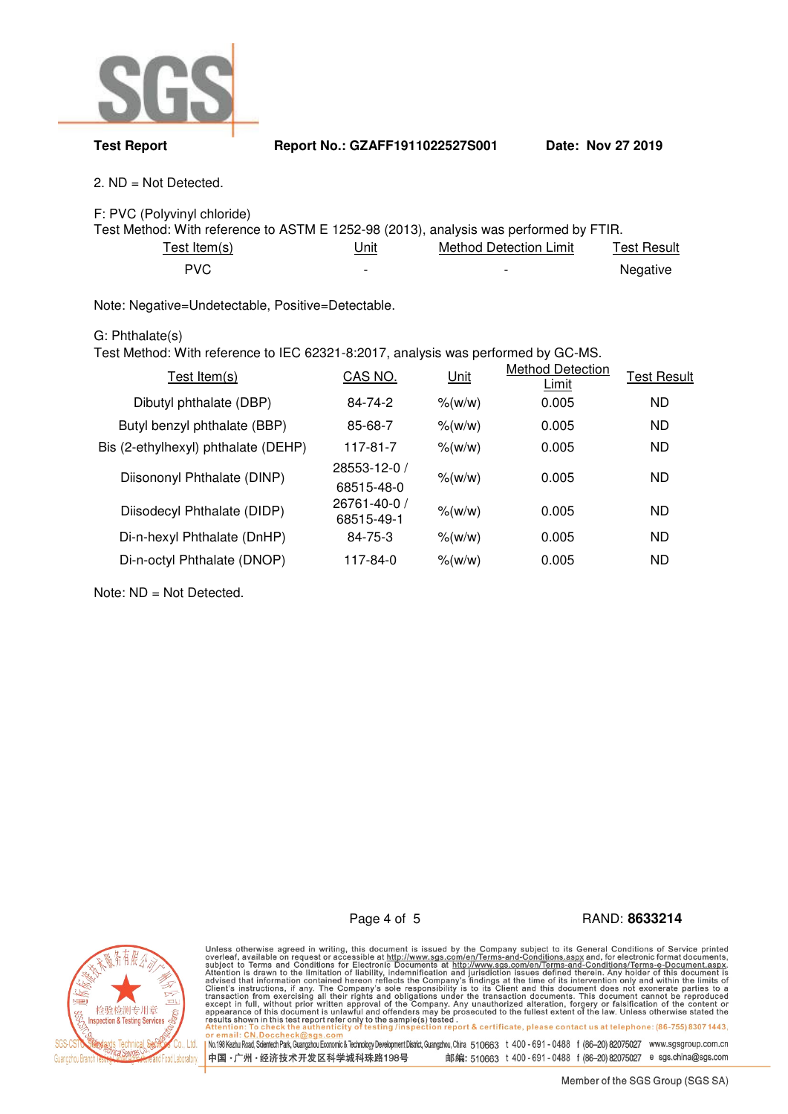

**Test Report Report No.: GZAFF1911022527S001 Date: Nov 27 2019** 

2. ND = Not Detected.

F: PVC (Polyvinyl chloride)

| Test Method: With reference to ASTM E 1252-98 (2013), analysis was performed by FTIR. |                          |                        |             |  |  |
|---------------------------------------------------------------------------------------|--------------------------|------------------------|-------------|--|--|
| Test Item(s).                                                                         | <u>Unit</u>              | Method Detection Limit | Test Result |  |  |
| PVC.                                                                                  | $\overline{\phantom{0}}$ | -                      | Negative    |  |  |

Note: Negative=Undetectable, Positive=Detectable.

## G: Phthalate(s)

Test Method: With reference to IEC 62321-8:2017, analysis was performed by GC-MS.

| Test Item $(s)$                     | CAS NO.                    | Unit                    | <b>Method Detection</b><br>Limit | <b>Test Result</b> |
|-------------------------------------|----------------------------|-------------------------|----------------------------------|--------------------|
| Dibutyl phthalate (DBP)             | 84-74-2                    | % (w/w)                 | 0.005                            | <b>ND</b>          |
| Butyl benzyl phthalate (BBP)        | 85-68-7                    | $\frac{\%}{\mathrm{W}}$ | 0.005                            | <b>ND</b>          |
| Bis (2-ethylhexyl) phthalate (DEHP) | 117-81-7                   | % (w/w)                 | 0.005                            | <b>ND</b>          |
| Diisononyl Phthalate (DINP)         | 28553-12-0 /               | % (w/w)                 | 0.005                            | <b>ND</b>          |
|                                     | 68515-48-0                 |                         |                                  |                    |
| Diisodecyl Phthalate (DIDP)         | 26761-40-0 /<br>68515-49-1 | $%$ (w/w)               | 0.005                            | <b>ND</b>          |
| Di-n-hexyl Phthalate (DnHP)         | 84-75-3                    | % (w/w)                 | 0.005                            | <b>ND</b>          |
| Di-n-octyl Phthalate (DNOP)         | 117-84-0                   | % (w/w)                 | 0.005                            | <b>ND</b>          |
|                                     |                            |                         |                                  |                    |

Note: ND = Not Detected.

Page 4 of 5 RAND: **8633214**



Unless otherwise agreed in writing, this document is issued by the Company subject to its General Conditions of Service printed<br>overleaf, available on request or accessible at http://www.sgs.com/en/Terms-and-Conditions.as No.1981 Kezhu Road, Scientech Park, Guangzhou Economic & Technology Development District, Guangzhou, China 510663 t 400 - 691 - 0488 f (86-20) 82075027 www.sgsgroup.com.cn 中国·广州·经济技术开发区科学城科珠路198号 邮编: 510663 t 400 - 691 - 0488 f (86-20) 82075027 e sgs.china@sgs.com